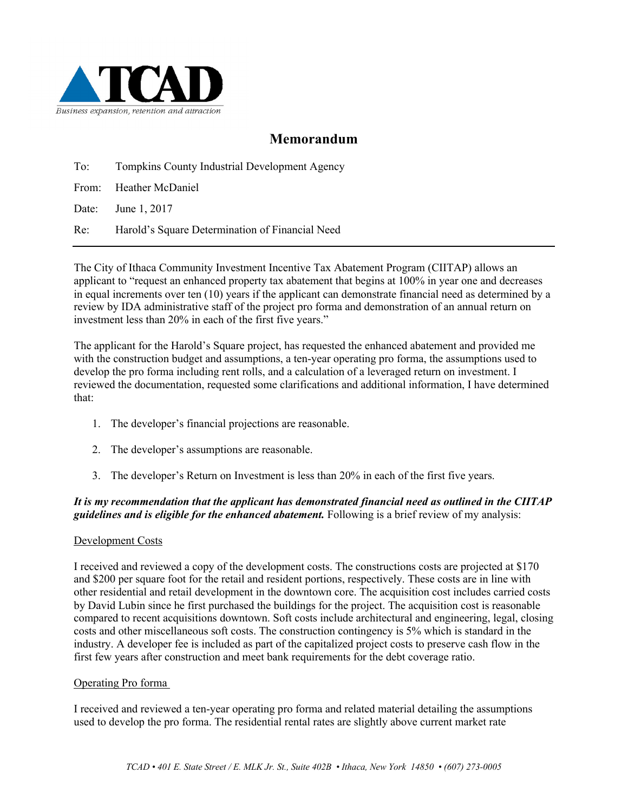

# **Memorandum**

To: Tompkins County Industrial Development Agency

From: Heather McDaniel

Date: June 1, 2017

Re: Harold's Square Determination of Financial Need

The City of Ithaca Community Investment Incentive Tax Abatement Program (CIITAP) allows an applicant to "request an enhanced property tax abatement that begins at 100% in year one and decreases in equal increments over ten (10) years if the applicant can demonstrate financial need as determined by a review by IDA administrative staff of the project pro forma and demonstration of an annual return on investment less than 20% in each of the first five years."

The applicant for the Harold's Square project, has requested the enhanced abatement and provided me with the construction budget and assumptions, a ten-year operating pro forma, the assumptions used to develop the pro forma including rent rolls, and a calculation of a leveraged return on investment. I reviewed the documentation, requested some clarifications and additional information, I have determined that:

- 1. The developer's financial projections are reasonable.
- 2. The developer's assumptions are reasonable.
- 3. The developer's Return on Investment is less than 20% in each of the first five years.

### *It is my recommendation that the applicant has demonstrated financial need as outlined in the CIITAP guidelines and is eligible for the enhanced abatement.* Following is a brief review of my analysis:

#### Development Costs

I received and reviewed a copy of the development costs. The constructions costs are projected at \$170 and \$200 per square foot for the retail and resident portions, respectively. These costs are in line with other residential and retail development in the downtown core. The acquisition cost includes carried costs by David Lubin since he first purchased the buildings for the project. The acquisition cost is reasonable compared to recent acquisitions downtown. Soft costs include architectural and engineering, legal, closing costs and other miscellaneous soft costs. The construction contingency is 5% which is standard in the industry. A developer fee is included as part of the capitalized project costs to preserve cash flow in the first few years after construction and meet bank requirements for the debt coverage ratio.

#### Operating Pro forma

I received and reviewed a ten-year operating pro forma and related material detailing the assumptions used to develop the pro forma. The residential rental rates are slightly above current market rate